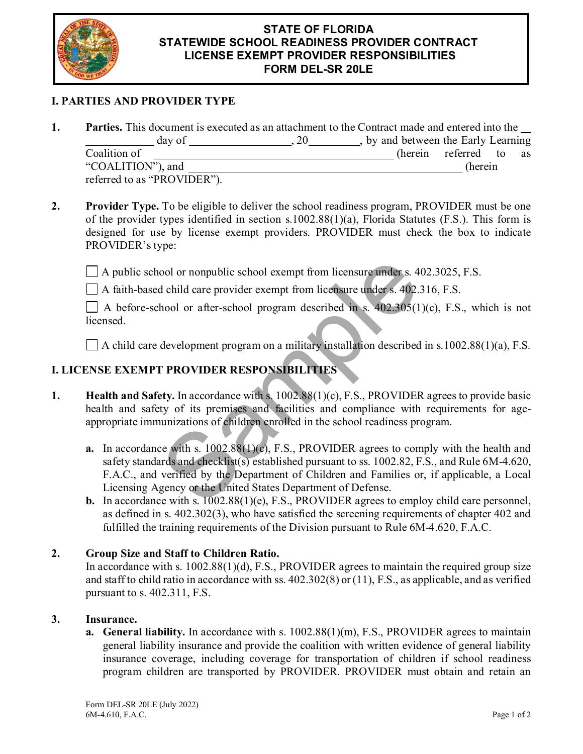

#### **STATE OF FLORIDA TATEWIDE SCHOOL READINESS PROVIDER CONTRACT S LICENSE EXEMPT PROVIDER RESPONSIBILITIES FORM DEL-SR 20LE**

## **I. PARTIES AND PROVIDER TYPE**

- **1. Parties.** This document is executed as an attachment to the Contract made and entered into the day of , 20 , by and between the Early Learning Communication of the contract of the contract of the contract of the contract of the contract of the contract of the contract of the contract of the contract of the contract of the contract of the contract of the contract "COALITION"), and (herein referred to as "PROVIDER").
- **2. Provider Type.** To be eligible to deliver the school readiness program, PROVIDER must be one of the provider types identified in section s.1002.88(1)(a), Florida Statutes (F.S.). This form is designed for use by license exempt providers. PROVIDER must check the box to indicate PROVIDER's type:

 $\Box$  A public school or nonpublic school exempt from licensure under s. 402.3025, F.S.

A faith-based child care provider exempt from licensure under s. 402.316, F.S.

 $\Box$  A before-school or after-school program described in s. 402.305(1)(c), F.S., which is not licensed.

 $\Box$  A child care development program on a military installation described in s.1002.88(1)(a), F.S.

# **I. LICENSE EXEMPT PROVIDER RESPONSIBILITIES**

- **1. Health and Safety.** In accordance with s. 1002.88(1)(c), F.S., PROVIDER agrees to provide basic health and safety of its premises and facilities and compliance with requirements for ageappropriate immunizations of children enrolled in the school readiness program.
- **a.** In accordance with s. 1002.88(1)(c), F.S., PROVIDER agrees to comply with the health and safety standards and checklist(s) established pursuant to ss. 1002.82, F.S., and Rule 6M-4.620, F.A.C., and verified by the Department of Children and Families or, if applicable, a Local Licensing Agency or the United States Department of Defense. ool or nonpublic school exempt from licensure under s. 4<br>d child care provider exempt from licensure under s. 402.3<br>hool or after-school program described in s. 402.305(1<br>development program on a military installation desc
	- **b.** In accordance with s.  $1002.88(1)(e)$ , F.S., PROVIDER agrees to employ child care personnel, as defined in s. 402.302(3), who have satisfied the screening requirements of chapter 402 and fulfilled the training requirements of the Division pursuant to Rule 6M-4.620, F.A.C.

### **2. Group Size and Staff to Children Ratio.**

In accordance with s. 1002.88(1)(d), F.S., PROVIDER agrees to maintain the required group size and staff to child ratio in accordance with ss. 402.302(8) or (11), F.S., as applicable, and as verified pursuant to s. 402.311, F.S.

### **3. Insurance.**

**a. General liability.** In accordance with s. 1002.88(1)(m), F.S., PROVIDER agrees to maintain general liability insurance and provide the coalition with written evidence of general liability insurance coverage, including coverage for transportation of children if school readiness program children are transported by PROVIDER. PROVIDER must obtain and retain an